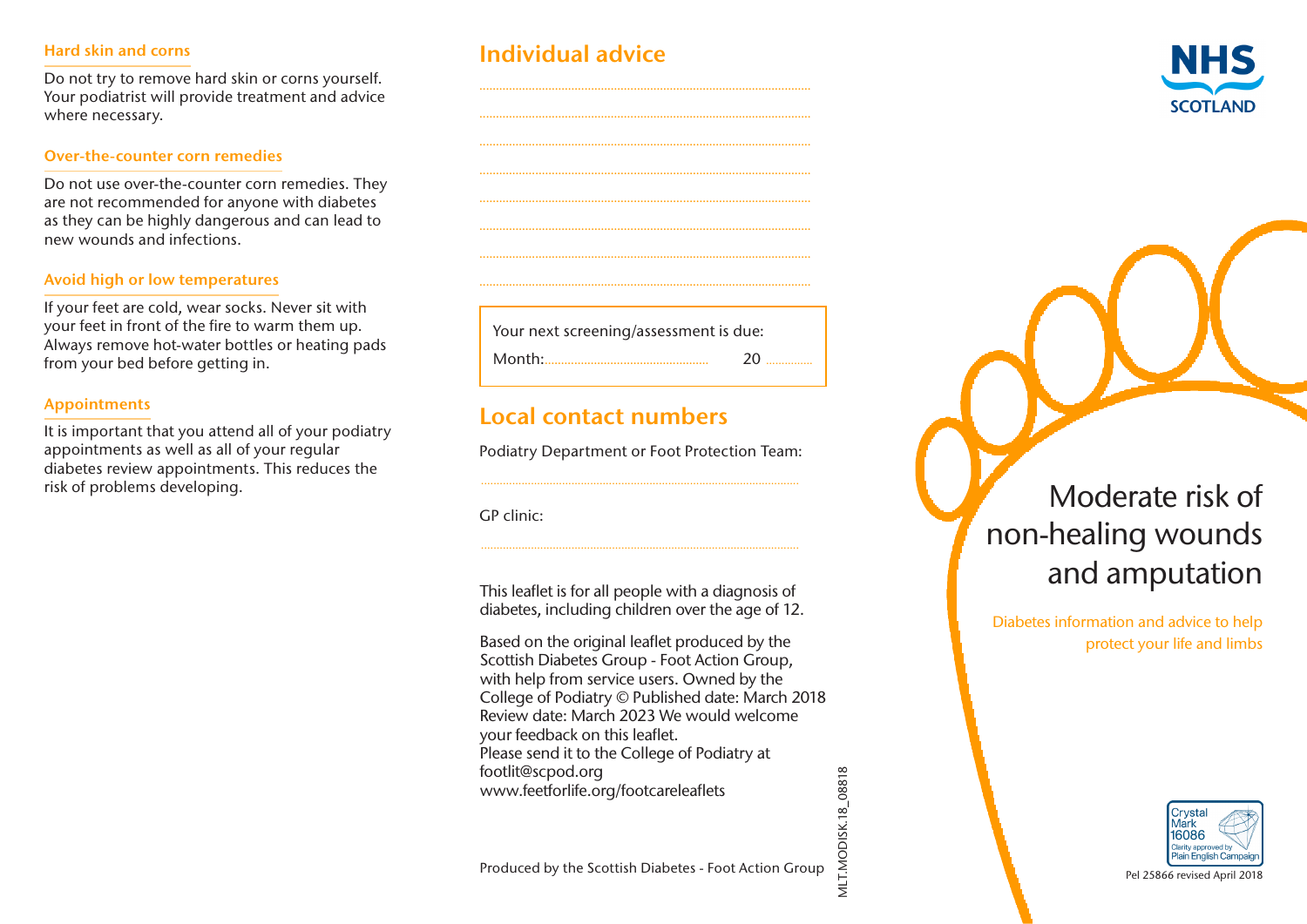#### Hard skin and corns

Do not try to remove hard skin or corns yourself. Your podiatrist will provide treatment and advice where necessary.

#### Over-the-counter corn remedies

Do not use over-the-counter corn remedies. They are not recommended for anyone with diabetes as they can be highly dangerous and can lead to new wounds and infections.

#### Avoid high or low temperatures

If your feet are cold, wear socks. Never sit with your feet in front of the fire to warm them up. Always remove hot-water bottles or heating pads from your bed before getting in.

#### Appointments

It is important that you attend all of your podiatry appointments as well as all of your regular diabetes review appointments. This reduces the risk of problems developing.

| <b>Individual advice</b> |  |  |  |
|--------------------------|--|--|--|
|                          |  |  |  |



Your next screening/assessment is due: Month:.................................................. 20 ...............

..................................................................................................... ..................................................................................................... ..................................................................................................... ..................................................................................................... ..................................................................................................... ..................................................................................................... .....................................................................................................

# Local contact numbers

Podiatry Department or Foot Protection Team: ......................................................................................................

GP clinic:

This leaflet is for all people with a diagnosis of diabetes, including children over the age of 12.

......................................................................................................

Based on the original leaflet produced by the Scottish Diabetes Group - Foot Action Group, with help from service users. Owned by the College of Podiatry © Published date: March 2018 Review date: March 2023 We would welcome your feedback on this leaflet. Please send it to the College of Podiatry at footlit@scpod.org www.feetforlife.org/footcareleaflets

VILT.MODISK.18\_08818 MLT.MODISK.18\_08818

# Moderate risk of non-healing wounds and amputation

Diabetes information and advice to help protect your life and limbs



Produced by the Scottish Diabetes - Foot Action Group